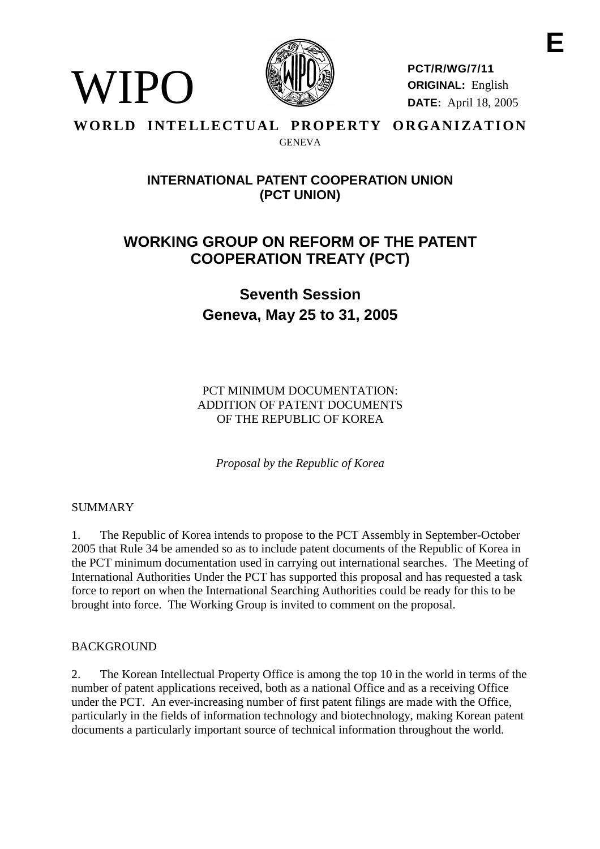

**PCT/R/WG/7/11 ORIGINAL:** English **DATE:** April 18, 2005

### WORLD INTELLECTUAL PROPERTY ORGANIZATION GENEVA

# **INTERNATIONAL PATENT COOPERATION UNION (PCT UNION)**

# **WORKING GROUP ON REFORM OF THE PATENT COOPERATION TREATY (PCT)**

**Seventh Session Geneva, May 25 to 31, 2005**

PCT MINIMUM DOCUMENTATION: ADDITION OF PATENT DOCUMENTS OF THE REPUBLIC OF KOREA

*Proposal by the Republic of Korea*

# SUMMARY

WIPO

1. The Republic of Korea intends to propose to the PCT Assembly in September-October 2005 that Rule 34 be amended so as to include patent documents of the Republic of Korea in the PCT minimum documentation used in carrying out international searches. The Meeting of International Authorities Under the PCT has supported this proposal and has requested a task force to report on when the International Searching Authorities could be ready for this to be brought into force. The Working Group is invited to comment on the proposal.

# **BACKGROUND**

2. The Korean Intellectual Property Office is among the top 10 in the world in terms of the number of patent applications received, both as a national Office and as a receiving Office under the PCT. An ever-increasing number of first patent filings are made with the Office, particularly in the fields of information technology and biotechnology, making Korean patent documents a particularly important source of technical information throughout the world.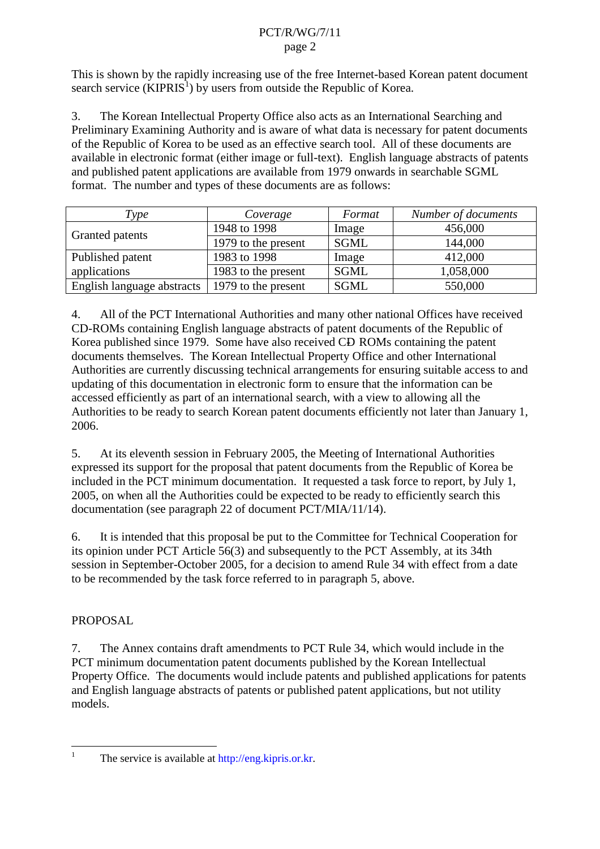#### PCT/R/WG/7/11 page 2

This is shown by the rapidly increasing use of the free Internet-based Korean patent document search service  $(KIPRIS<sup>1</sup>)$  by users from outside the Republic of Korea.

3. The Korean Intellectual Property Office also acts as an International Searching and Preliminary Examining Authority and is aware of what data is necessary for patent documents of the Republic of Korea to be used as an effective search tool. All of these documents are available in electronic format (either image or full-text). English language abstracts of patents and published patent applications are available from 1979 onwards in searchable SGML format. The number and types of these documents are as follows:

| Type                       | Coverage            | Format      | Number of documents |
|----------------------------|---------------------|-------------|---------------------|
| Granted patents            | 1948 to 1998        | Image       | 456,000             |
|                            | 1979 to the present | <b>SGML</b> | 144,000             |
| Published patent           | 1983 to 1998        | Image       | 412,000             |
| applications               | 1983 to the present | <b>SGML</b> | 1,058,000           |
| English language abstracts | 1979 to the present | <b>SGML</b> | 550,000             |

4. All of the PCT International Authorities and many other national Offices have received CD-ROMs containing English language abstracts of patent documents of the Republic of Korea published since 1979. Some have also received CD- ROMs containing the patent documents themselves. The Korean Intellectual Property Office and other International Authorities are currently discussing technical arrangements for ensuring suitable access to and updating of this documentation in electronic form to ensure that the information can be accessed efficiently as part of an international search, with a view to allowing all the Authorities to be ready to search Korean patent documents efficiently not later than January 1, 2006.

5. At its eleventh session in February 2005, the Meeting of International Authorities expressed its support for the proposal that patent documents from the Republic of Korea be included in the PCT minimum documentation. It requested a task force to report, by July 1, 2005, on when all the Authorities could be expected to be ready to efficiently search this documentation (see paragraph 22 of document PCT/MIA/11/14).

6. It is intended that this proposal be put to the Committee for Technical Cooperation for its opinion under PCT Article 56(3) and subsequently to the PCT Assembly, at its 34th session in September-October 2005, for a decision to amend Rule 34 with effect from a date to be recommended by the task force referred to in paragraph 5, above.

# PROPOSAL

7. The Annex contains draft amendments to PCT Rule 34, which would include in the PCT minimum documentation patent documents published by the Korean Intellectual Property Office. The documents would include patents and published applications for patents and English language abstracts of patents or published patent applications, but not utility models.

<sup>&</sup>lt;sup>1</sup> The service is available at  $\frac{http://eng.kipris.or.kr.}{http://eng.kipris.or.kr.}$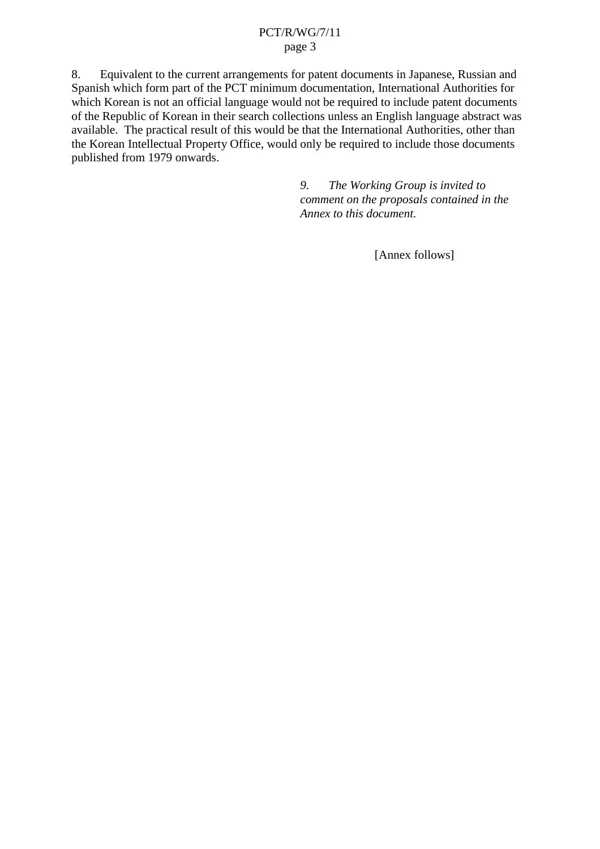### PCT/R/WG/7/11 page 3

8. Equivalent to the current arrangements for patent documents in Japanese, Russian and Spanish which form part of the PCT minimum documentation, International Authorities for which Korean is not an official language would not be required to include patent documents of the Republic of Korean in their search collections unless an English language abstract was available. The practical result of this would be that the International Authorities, other than the Korean Intellectual Property Office, would only be required to include those documents published from 1979 onwards.

> *9. The Working Group is invited to comment on the proposals contained in the Annex to this document.*

> > [Annex follows]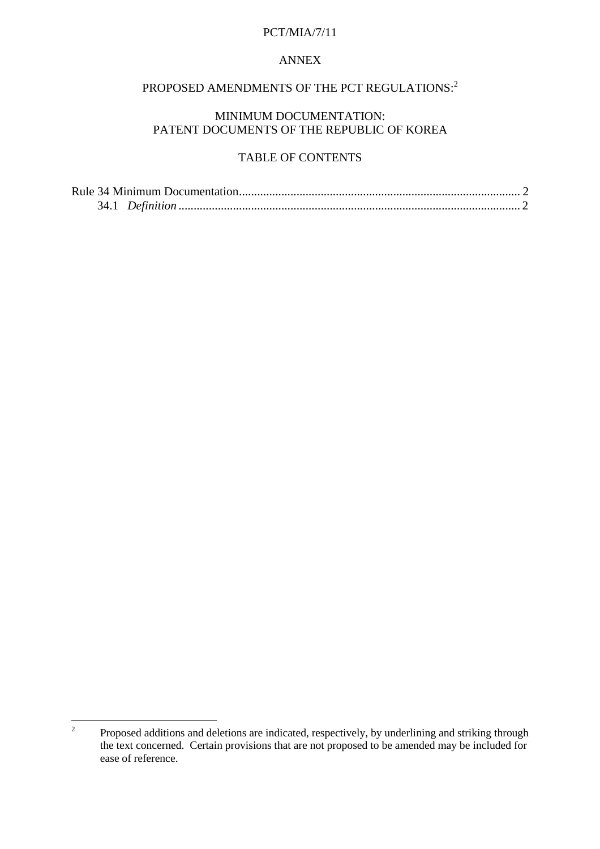### PCT/MIA/7/11

## ANNEX

# PROPOSED AMENDMENTS OF THE PCT REGULATIONS:<sup>2</sup>

# MINIMUM DOCUMENTATION: PATENT DOCUMENTS OF THE REPUBLIC OF KOREA

# TABLE OF CONTENTS

<sup>&</sup>lt;sup>2</sup> Proposed additions and deletions are indicated, respectively, by underlining and striking through the text concerned. Certain provisions that are not proposed to be amended may be included for ease of reference.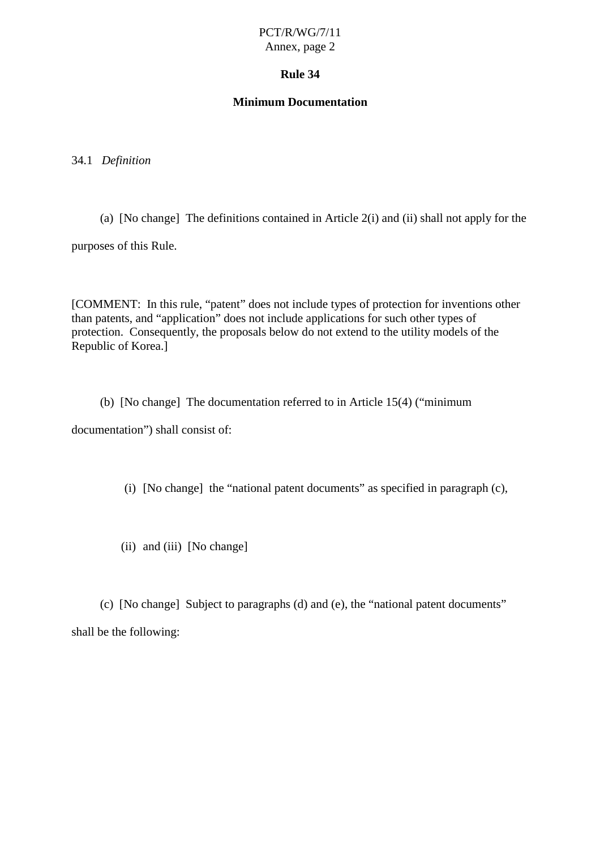### **Rule 34**

### **Minimum Documentation**

<span id="page-4-0"></span>34.1 *Definition*

(a) [No change] The definitions contained in Article 2(i) and (ii) shall not apply for the

purposes of this Rule.

[COMMENT: In this rule, "patent" does not include types of protection for inventions other than patents, and "application" does not include applications for such other types of protection. Consequently, the proposals below do not extend to the utility models of the Republic of Korea.]

(b) [No change] The documentation referred to in Article 15(4) ("minimum

documentation") shall consist of:

(i) [No change] the "national patent documents" as specified in paragraph (c),

(ii) and (iii) [No change]

(c) [No change] Subject to paragraphs (d) and (e), the "national patent documents" shall be the following: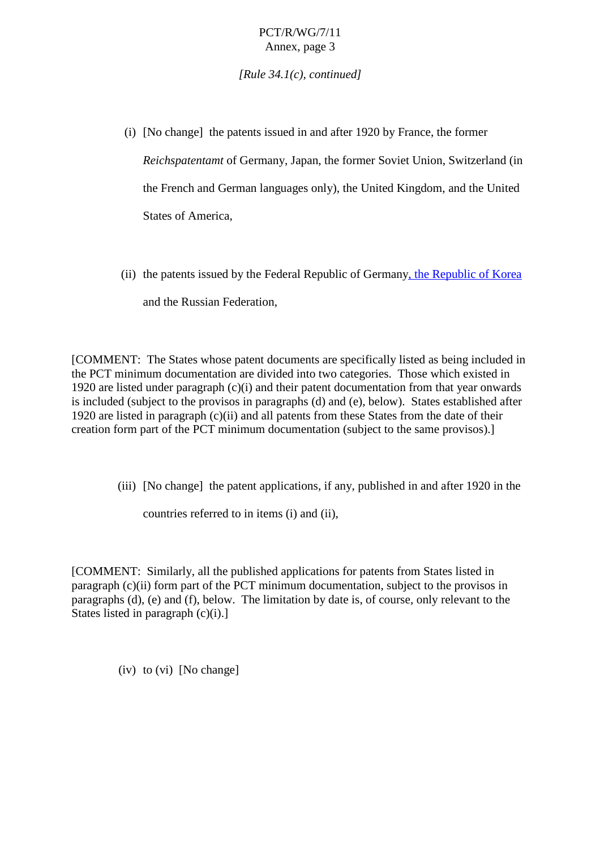*[Rule 34.1(c), continued]*

- (i) [No change] the patents issued in and after 1920 by France, the former *Reichspatentamt* of Germany, Japan, the former Soviet Union, Switzerland (in the French and German languages only), the United Kingdom, and the United States of America,
- (ii) the patents issued by the Federal Republic of Germany, the Republic of Korea and the Russian Federation,

[COMMENT: The States whose patent documents are specifically listed as being included in the PCT minimum documentation are divided into two categories. Those which existed in 1920 are listed under paragraph (c)(i) and their patent documentation from that year onwards is included (subject to the provisos in paragraphs (d) and (e), below). States established after 1920 are listed in paragraph (c)(ii) and all patents from these States from the date of their creation form part of the PCT minimum documentation (subject to the same provisos).]

(iii) [No change] the patent applications, if any, published in and after 1920 in the

countries referred to in items (i) and (ii),

[COMMENT: Similarly, all the published applications for patents from States listed in paragraph (c)(ii) form part of the PCT minimum documentation, subject to the provisos in paragraphs (d), (e) and (f), below. The limitation by date is, of course, only relevant to the States listed in paragraph (c)(i).]

(iv) to (vi) [No change]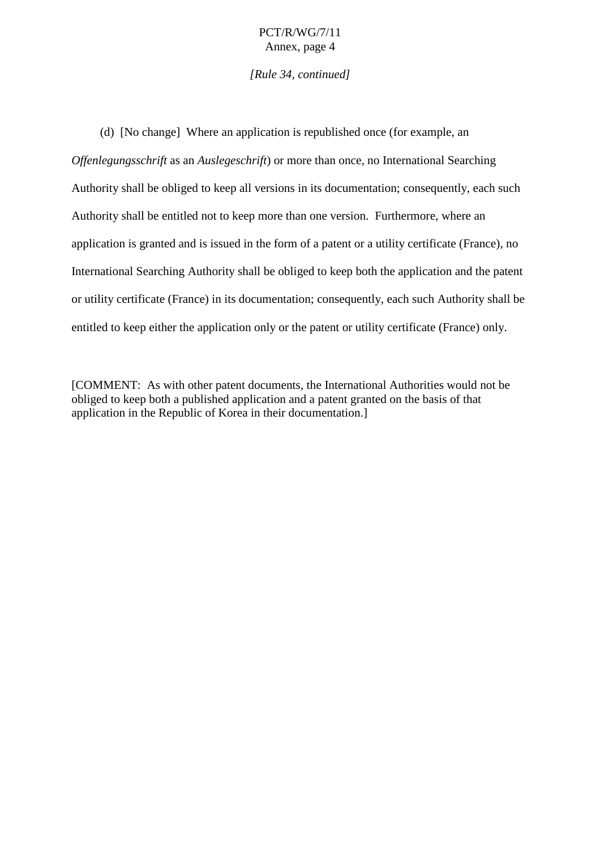*[Rule 34, continued]*

(d) [No change] Where an application is republished once (for example, an *Offenlegungsschrift* as an *Auslegeschrift*) or more than once, no International Searching Authority shall be obliged to keep all versions in its documentation; consequently, each such Authority shall be entitled not to keep more than one version. Furthermore, where an application is granted and is issued in the form of a patent or a utility certificate (France), no International Searching Authority shall be obliged to keep both the application and the patent or utility certificate (France) in its documentation; consequently, each such Authority shall be entitled to keep either the application only or the patent or utility certificate (France) only.

[COMMENT: As with other patent documents, the International Authorities would not be obliged to keep both a published application and a patent granted on the basis of that application in the Republic of Korea in their documentation.]